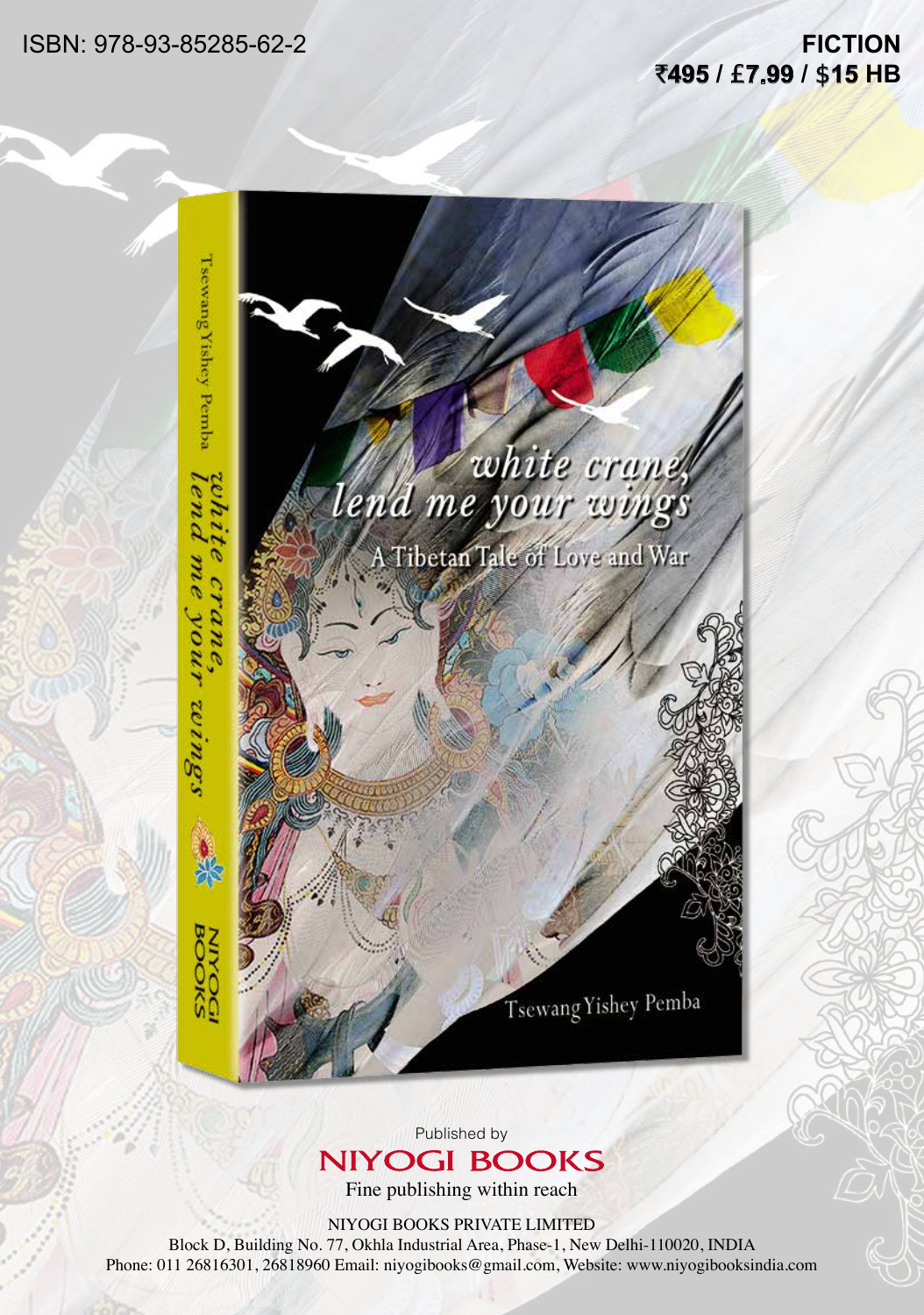ISBN: 978-93-85285-62-2

## **FICTION** `**495 /** £**7.99 /** \$**15 HB**



Published by **NIYOGI BOOKS** 

Fine publishing within reach

NIYOGI BOOKS PRIVATE LIMITED

Block D, Building No. 77, Okhla Industrial Area, Phase-1, New Delhi-110020, INDIA Phone: 011 26816301, 26818960 Email: niyogibooks@gmail.com, Website: www.niyogibooksindia.com